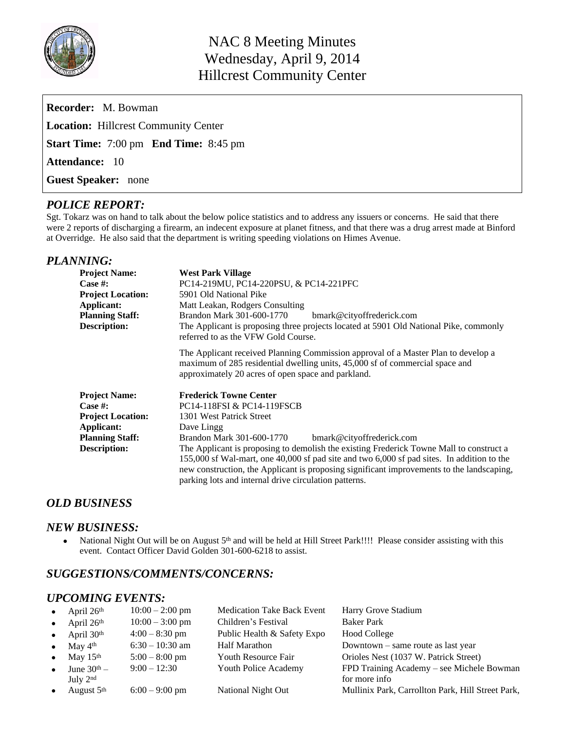

| <b>Recorder:</b> M. Bowman                          |  |  |  |  |  |  |  |  |  |
|-----------------------------------------------------|--|--|--|--|--|--|--|--|--|
| <b>Location:</b> Hillcrest Community Center         |  |  |  |  |  |  |  |  |  |
| <b>Start Time:</b> 7:00 pm <b>End Time:</b> 8:45 pm |  |  |  |  |  |  |  |  |  |
| <b>Attendance:</b> 10                               |  |  |  |  |  |  |  |  |  |
| <b>Guest Speaker:</b> none                          |  |  |  |  |  |  |  |  |  |

# *POLICE REPORT:*

Sgt. Tokarz was on hand to talk about the below police statistics and to address any issuers or concerns. He said that there were 2 reports of discharging a firearm, an indecent exposure at planet fitness, and that there was a drug arrest made at Binford at Overridge. He also said that the department is writing speeding violations on Himes Avenue.

## *PLANNING:*

| <b>Project Name:</b><br>Case #:<br><b>Project Location:</b><br>Applicant:<br><b>Planning Staff:</b><br><b>Description:</b> | <b>West Park Village</b><br>PC14-219MU, PC14-220PSU, & PC14-221PFC<br>5901 Old National Pike<br>Matt Leakan, Rodgers Consulting<br>Brandon Mark 301-600-1770<br>bmark@cityoffrederick.com<br>The Applicant is proposing three projects located at 5901 Old National Pike, commonly<br>referred to as the VFW Gold Course.<br>The Applicant received Planning Commission approval of a Master Plan to develop a<br>maximum of 285 residential dwelling units, 45,000 sf of commercial space and<br>approximately 20 acres of open space and parkland. |
|----------------------------------------------------------------------------------------------------------------------------|------------------------------------------------------------------------------------------------------------------------------------------------------------------------------------------------------------------------------------------------------------------------------------------------------------------------------------------------------------------------------------------------------------------------------------------------------------------------------------------------------------------------------------------------------|
| <b>Project Name:</b><br>Case #:<br><b>Project Location:</b><br>Applicant:<br><b>Planning Staff:</b><br><b>Description:</b> | <b>Frederick Towne Center</b><br>PC14-118FSI & PC14-119FSCB<br>1301 West Patrick Street<br>Dave Lingg<br>Brandon Mark 301-600-1770<br>bmark@cityoffrederick.com<br>The Applicant is proposing to demolish the existing Frederick Towne Mall to construct a<br>155,000 sf Wal-mart, one 40,000 sf pad site and two 6,000 sf pad sites. In addition to the<br>new construction, the Applicant is proposing significant improvements to the landscaping,<br>parking lots and internal drive circulation patterns.                                       |

## *OLD BUSINESS*

### *NEW BUSINESS:*

• National Night Out will be on August 5<sup>th</sup> and will be held at Hill Street Park!!!! Please consider assisting with this event. Contact Officer David Golden 301-600-6218 to assist.

# *SUGGESTIONS/COMMENTS/CONCERNS:*

## *UPCOMING EVENTS:*

| $\bullet$ | April $26th$                   | $10:00 - 2:00$ pm | <b>Medication Take Back Event</b> | Harry Grove Stadium                               |
|-----------|--------------------------------|-------------------|-----------------------------------|---------------------------------------------------|
|           | • April $26th$                 | $10:00 - 3:00$ pm | Children's Festival               | <b>Baker Park</b>                                 |
|           | • April $30th$                 | $4:00 - 8:30$ pm  | Public Health & Safety Expo       | <b>Hood College</b>                               |
|           | • May $4^{\text{th}}$          | $6:30 - 10:30$ am | <b>Half Marathon</b>              | Downtown – same route as last year                |
|           | $\bullet$ May 15 <sup>th</sup> | $5:00 - 8:00$ pm  | <b>Youth Resource Fair</b>        | Orioles Nest (1037 W. Patrick Street)             |
| $\bullet$ | June $30th$ –                  | $9:00 - 12:30$    | Youth Police Academy              | FPD Training Academy - see Michele Bowman         |
|           | July $2nd$                     |                   |                                   | for more info                                     |
| $\bullet$ | August 5th                     | $6:00 - 9:00$ pm  | National Night Out                | Mullinix Park, Carrollton Park, Hill Street Park, |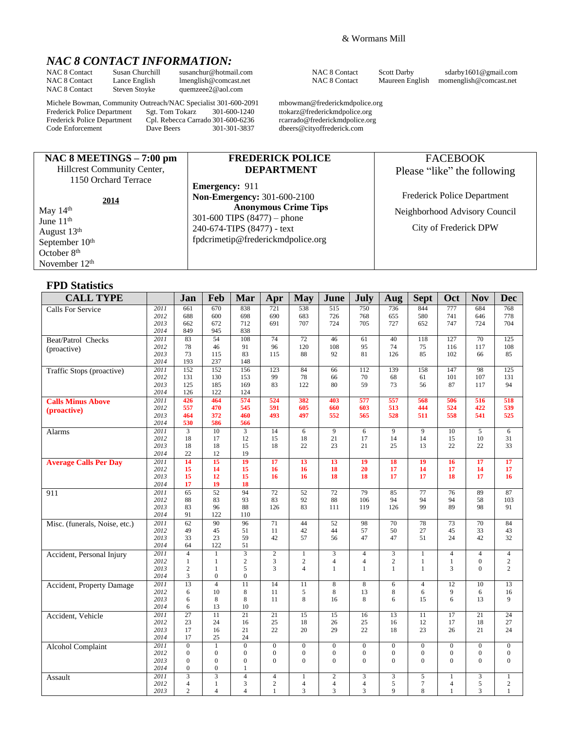# *NAC 8 CONTACT INFORMATION:*

NAC 8 Contact Susan Churchill [susanchur@hotmail.com](mailto:susanchur@hotmail.com) NAC 8 Contact Scott Darby sdarby 1601@gmail.com<br>NAC 8 Contact Lance English Imenglish@comcast.net NAC 8 Contact Maureen English momenglish@comcast.net Lance English [lmenglish@comcast.net](mailto:lmenglish@comcast.net) NAC 8 Contact Maureen English [momenglish@comcast.net](mailto:momenglish@comcast.net) Steven Stoyke quemzeee2@aol.com NAC 8 Contact Steven Stoyke [quemzeee2@aol.com](mailto:quemzeee2@aol.com)

Frederick Police Department Sgt. Tom Tokarz 301-600-1240 ttokarz@frederickmdpolice.org<br>Frederick Police Department Cpl. Rebecca Carrado 301-600-6236 rcarrado@frederickmdpolice.org Frederick Police Department Cpl. Rebecca Carrado 301-600-6236<br>Code Enforcement Dave Beers 301-301-3837

**NAC 8 MEETINGS – 7:00 pm** Hillcrest Community Center, 1150 Orchard Terrace

Michele Bowman, Community Outreach/NAC Specialist 301-600-2091 mbowman@frederickmdpolice.org<br>Frederick Police Department Sgt. Tom Tokarz 301-600-1240 ttokarz@frederickmdpolice.org

**Emergency:** 911

**Non-Emergency:** 301-600-2100

[fpdcrimetip@frederickmdpolice.org](mailto:fpdcrimetip@frederickmdpolice.org)

301-600 TIPS (8477) – phone 240-674-TIPS (8477) - text

dbeers@cityoffrederick.com

**FREDERICK POLICE DEPARTMENT**

**Anonymous Crime Tips**

FACEBOOK

Please "like" the following

Frederick Police Department Neighborhood Advisory Council

City of Frederick DPW

 May 14th June 11<sup>th</sup> August 13th September 10<sup>th</sup> October 8<sup>th</sup> November 12th

#### **FPD Statistics**

| <b>CALL TYPE</b>              |              | Jan                              | Feb                            | Mar                   | Apr               | <b>May</b>          | June                | July                | Aug              | <b>Sept</b>         | Oct                            | <b>Nov</b>            | <b>Dec</b>                 |
|-------------------------------|--------------|----------------------------------|--------------------------------|-----------------------|-------------------|---------------------|---------------------|---------------------|------------------|---------------------|--------------------------------|-----------------------|----------------------------|
| <b>Calls For Service</b>      | 2011         | 661                              | 670                            | 838                   | 721               | 538                 | 515                 | 750                 | 736              | 844                 | $\overline{777}$               | 684                   | 768                        |
|                               | 2012         | 688                              | 600                            | 698                   | 690               | 683                 | 726                 | 768                 | 655              | 580                 | 741                            | 646                   | 778                        |
|                               | 2013         | 662                              | 672                            | 712                   | 691               | 707                 | 724                 | 705                 | 727              | 652                 | 747                            | 724                   | 704                        |
|                               | 2014         | 849                              | 945                            | 838                   |                   |                     |                     |                     |                  |                     |                                |                       |                            |
| Beat/Patrol Checks            | 2011         | 83                               | 54                             | 108                   | 74                | 72                  | 46                  | 61                  | 40               | 118                 | 127                            | 70                    | 125                        |
| (proactive)                   | 2012<br>2013 | 78<br>73                         | 46<br>115                      | 91<br>83              | 96<br>115         | 120<br>88           | 108<br>92           | 95<br>81            | 74<br>126        | 75<br>85            | 116<br>102                     | 117<br>66             | 108<br>85                  |
|                               | 2014         | 193                              | 237                            | 148                   |                   |                     |                     |                     |                  |                     |                                |                       |                            |
| Traffic Stops (proactive)     | 2011         | 152                              | 152                            | 156                   | 123               | 84                  | 66                  | 112                 | 139              | 158                 | 147                            | 98                    | 125                        |
|                               | 2012         | 131                              | 130                            | 153                   | 99                | 78                  | 66                  | 70                  | 68               | 61                  | 101                            | 107                   | 131                        |
|                               | 2013         | 125                              | 185                            | 169                   | 83                | 122                 | 80                  | 59                  | 73               | 56                  | 87                             | 117                   | 94                         |
|                               | 2014         | 126                              | 122                            | 124                   |                   |                     |                     |                     |                  |                     |                                |                       |                            |
| <b>Calls Minus Above</b>      | 2011         | 426                              | 464                            | 574                   | 524               | 382                 | 403                 | 577                 | 557              | 568                 | 506                            | 516                   | 518                        |
| (proactive)                   | 2012         | 557                              | 470                            | 545                   | 591               | 605                 | 660                 | 603                 | 513              | 444                 | 524                            | 422                   | 539                        |
|                               | 2013         | 464                              | 372                            | 460                   | 493               | 497                 | 552                 | 565                 | 528              | 511                 | 558                            | 541                   | 525                        |
|                               | 2014         | 530<br>$\overline{3}$            | 586<br>10                      | 566<br>$\overline{3}$ |                   |                     | $\overline{9}$      |                     | $\overline{9}$   | $\overline{9}$      | $\overline{10}$                |                       |                            |
| Alarms                        | 2011<br>2012 | 18                               | 17                             | 12                    | 14<br>15          | 6<br>18             | 21                  | 6<br>17             | 14               | 14                  | 15                             | 5<br>10               | 6<br>31                    |
|                               | 2013         | 18                               | 18                             | 15                    | 18                | 22                  | 23                  | 21                  | 25               | 13                  | 22                             | 22                    | 33                         |
|                               | 2014         | 22                               | 12                             | 19                    |                   |                     |                     |                     |                  |                     |                                |                       |                            |
| <b>Average Calls Per Day</b>  | 2011         | 14                               | 15                             | 19                    | 17                | 13                  | 13                  | 19                  | 18               | 19                  | 16                             | 17                    | 17                         |
|                               | 2012         | 15                               | 14                             | 15                    | 16                | 16                  | 18                  | 20                  | 17               | 14                  | 17                             | 14                    | 17                         |
|                               | 2013         | 15                               | 12                             | 15                    | 16                | 16                  | 18                  | 18                  | 17               | 17                  | 18                             | 17                    | 16                         |
|                               | 2014         | 17                               | 19                             | 18                    |                   |                     |                     |                     |                  |                     |                                |                       |                            |
| 911                           | 2011         | 65                               | $\overline{52}$                | 94                    | 72                | 52                  | 72                  | 79                  | 85               | 77                  | 76                             | $\overline{89}$       | 87                         |
|                               | 2012         | 88                               | 83                             | 93                    | 83                | 92                  | 88                  | 106                 | 94               | 94                  | 94                             | 58                    | 103                        |
|                               | 2013         | 83                               | 96                             | 88                    | 126               | 83                  | 111                 | 119                 | 126              | 99                  | 89                             | 98                    | 91                         |
|                               | 2014         | 91                               | 122                            | 110                   |                   |                     |                     |                     |                  |                     |                                |                       |                            |
| Misc. (funerals, Noise, etc.) | 2011         | 62                               | 90                             | 96                    | 71                | 44                  | 52                  | 98                  | 70               | 78                  | 73                             | $\overline{70}$<br>33 | 84                         |
|                               | 2012<br>2013 | 49<br>33                         | 45<br>23                       | 51<br>59              | 11<br>42          | 42<br>57            | 44<br>56            | 57<br>47            | 50<br>47         | 27<br>51            | 45<br>24                       | 42                    | 43<br>32                   |
|                               | 2014         | 64                               | 122                            | 51                    |                   |                     |                     |                     |                  |                     |                                |                       |                            |
| Accident, Personal Injury     | 2011         | $\overline{4}$                   | $\mathbf{1}$                   | $\overline{3}$        | $\overline{c}$    | $\mathbf{1}$        | 3                   | $\overline{4}$      | 3                | $\mathbf{1}$        | $\overline{4}$                 | $\overline{4}$        | $\overline{4}$             |
|                               | 2012         | $\mathbf{1}$                     | 1                              | $\overline{c}$        | 3                 | $\sqrt{2}$          | $\overline{4}$      | 4                   | $\sqrt{2}$       | $\mathbf{1}$        | $\mathbf{1}$                   | $\boldsymbol{0}$      | $\overline{c}$             |
|                               | 2013         | $\sqrt{2}$                       | $\mathbf{1}$                   | 5                     | 3                 | $\overline{4}$      | $\mathbf{1}$        | $\mathbf{1}$        | $\mathbf{1}$     | $\mathbf{1}$        | 3                              | $\theta$              | $\overline{c}$             |
|                               | 2014         | 3                                | $\Omega$                       | $\overline{0}$        |                   |                     |                     |                     |                  |                     |                                |                       |                            |
| Accident, Property Damage     | 2011         | $\overline{13}$                  | $\overline{4}$                 | 11                    | 14                | 11                  | $\overline{\bf 8}$  | 8                   | 6                | $\overline{4}$      | $\overline{12}$                | $\overline{10}$       | 13                         |
|                               | 2012<br>2013 | 6<br>6                           | 10<br>8                        | 8<br>8                | 11<br>11          | 5<br>8              | 8<br>16             | 13<br>8             | 8<br>6           | 6<br>15             | 9<br>6                         | 6<br>13               | 16<br>9                    |
|                               | 2014         | 6                                | 13                             | 10                    |                   |                     |                     |                     |                  |                     |                                |                       |                            |
| Accident, Vehicle             | 2011         | 27                               | 11                             | $\overline{21}$       | 21                | 15                  | 15                  | 16                  | 13               | 11                  | 17                             | 21                    | 24                         |
|                               | 2012         | 23                               | 24                             | 16                    | 25                | 18                  | 26                  | 25                  | 16               | 12                  | 17                             | 18                    | 27                         |
|                               | 2013         | 17                               | 16                             | 21                    | 22                | 20                  | 29                  | 22                  | 18               | 23                  | 26                             | 21                    | 24                         |
|                               | 2014         | 17                               | 25                             | 24                    |                   |                     |                     |                     |                  |                     |                                |                       |                            |
| <b>Alcohol Complaint</b>      | 2011         | $\overline{0}$                   | 1                              | $\overline{0}$        | $\overline{0}$    | $\mathbf{0}$        | $\mathbf{0}$        | $\overline{0}$      | $\overline{0}$   | $\Omega$            | $\mathbf{0}$                   | $\mathbf{0}$          | $\mathbf{0}$               |
|                               | 2012         | $\mathbf{0}$                     | $\overline{0}$                 | $\overline{0}$        | $\boldsymbol{0}$  | $\boldsymbol{0}$    | $\boldsymbol{0}$    | $\boldsymbol{0}$    | $\boldsymbol{0}$ | $\boldsymbol{0}$    | $\boldsymbol{0}$               | $\boldsymbol{0}$      | $\boldsymbol{0}$           |
|                               | 2013         | $\mathbf{0}$                     | $\mathbf{0}$                   | $\mathbf{0}$          | $\Omega$          | $\overline{0}$      | $\Omega$            | $\Omega$            | $\mathbf{0}$     | $\Omega$            | $\Omega$                       | $\Omega$              | $\mathbf{0}$               |
|                               | 2014         | $\boldsymbol{0}$                 | $\overline{0}$                 | $\mathbf{1}$          |                   |                     |                     |                     |                  |                     |                                |                       |                            |
| Assault                       | 2011         | $\overline{\mathbf{3}}$          | $\overline{3}$                 | $\overline{4}$<br>3   | $\overline{4}$    | $\mathbf{1}$        | $\overline{c}$      | 3                   | $\sqrt{3}$       | 5<br>$\overline{7}$ | $\mathbf{1}$                   | 3<br>5                | $\,1$                      |
|                               | 2012<br>2013 | $\overline{4}$<br>$\overline{c}$ | $\mathbf{1}$<br>$\overline{4}$ | $\overline{4}$        | 2<br>$\mathbf{1}$ | $\overline{4}$<br>3 | $\overline{4}$<br>3 | $\overline{4}$<br>3 | 5<br>9           | 8                   | $\overline{4}$<br>$\mathbf{1}$ | 3                     | $\sqrt{2}$<br>$\mathbf{1}$ |
|                               |              |                                  |                                |                       |                   |                     |                     |                     |                  |                     |                                |                       |                            |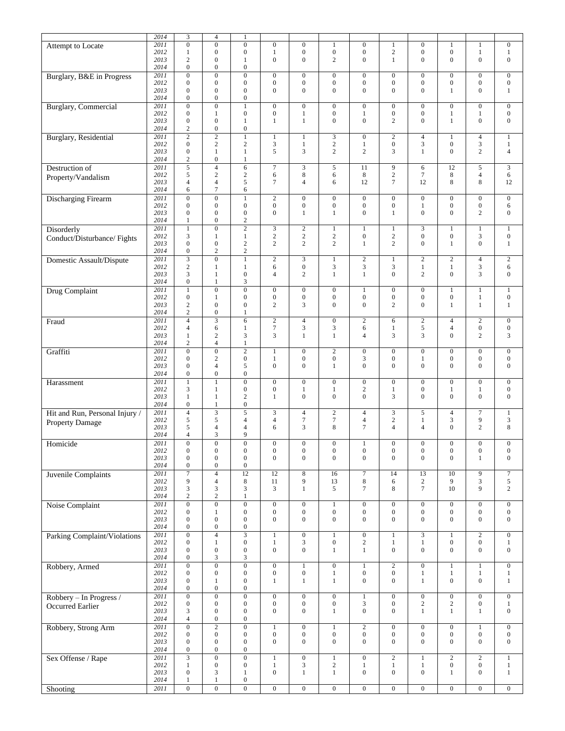|                                 | 2014         | $\mathfrak{Z}$    | $\overline{4}$                   | 1                       |                                  |                                  |                                    |                                  |                              |                                    |                                |                       |                              |
|---------------------------------|--------------|-------------------|----------------------------------|-------------------------|----------------------------------|----------------------------------|------------------------------------|----------------------------------|------------------------------|------------------------------------|--------------------------------|-----------------------|------------------------------|
|                                 | 2011         | $\overline{0}$    | $\overline{0}$                   | $\overline{0}$          | $\overline{0}$                   | $\mathbf{0}$                     |                                    | $\overline{0}$                   |                              | $\boldsymbol{0}$                   | $\mathbf{1}$                   | 1                     | $\boldsymbol{0}$             |
| <b>Attempt to Locate</b>        |              |                   |                                  |                         |                                  |                                  | $\mathbf{1}$                       |                                  | $\mathbf{1}$                 |                                    |                                |                       |                              |
|                                 | 2012<br>2013 | $\mathbf{1}$<br>2 | $\mathbf{0}$<br>$\boldsymbol{0}$ | $\boldsymbol{0}$        | $\mathbf{1}$<br>$\boldsymbol{0}$ | $\boldsymbol{0}$<br>$\mathbf{0}$ | $\boldsymbol{0}$<br>$\overline{2}$ | $\boldsymbol{0}$<br>$\mathbf{0}$ | $\mathbf{2}$<br>$\mathbf{1}$ | $\boldsymbol{0}$<br>$\overline{0}$ | $\mathbf{0}$<br>$\overline{0}$ | 1<br>$\boldsymbol{0}$ | $\mathbf{1}$<br>$\mathbf{0}$ |
|                                 | 2014         | $\mathbf{0}$      | $\boldsymbol{0}$                 | 1<br>$\mathbf{0}$       |                                  |                                  |                                    |                                  |                              |                                    |                                |                       |                              |
|                                 |              |                   |                                  |                         |                                  |                                  |                                    |                                  |                              |                                    |                                |                       |                              |
| Burglary, B&E in Progress       | 2011         | $\mathbf{0}$      | $\overline{0}$                   | $\boldsymbol{0}$        | $\boldsymbol{0}$                 | $\boldsymbol{0}$                 | $\mathbf{0}$                       | $\boldsymbol{0}$                 | $\mathbf{0}$                 | $\boldsymbol{0}$                   | $\boldsymbol{0}$               | $\boldsymbol{0}$      | $\mathbf{0}$                 |
|                                 | 2012         | $\mathbf{0}$      | $\boldsymbol{0}$                 | $\boldsymbol{0}$        | $\boldsymbol{0}$                 | $\boldsymbol{0}$                 | $\boldsymbol{0}$                   | $\boldsymbol{0}$                 | $\boldsymbol{0}$             | $\boldsymbol{0}$                   | $\boldsymbol{0}$               | 0                     | $\mathbf{0}$                 |
|                                 | 2013         | $\mathbf{0}$      | $\boldsymbol{0}$                 | $\boldsymbol{0}$        | $\mathbf{0}$                     | $\boldsymbol{0}$                 | $\mathbf{0}$                       | $\boldsymbol{0}$                 | $\boldsymbol{0}$             | $\overline{0}$                     | 1                              | 0                     | $\mathbf{1}$                 |
|                                 | 2014         | $\mathbf{0}$      | $\boldsymbol{0}$                 | $\boldsymbol{0}$        |                                  |                                  |                                    |                                  |                              |                                    |                                |                       |                              |
| <b>Burglary</b> , Commercial    | 2011         | $\overline{0}$    | $\overline{0}$                   | $\mathbf{1}$            | $\overline{0}$                   | $\boldsymbol{0}$                 | $\mathbf{0}$                       | $\boldsymbol{0}$                 | $\mathbf{0}$                 | $\boldsymbol{0}$                   | $\mathbf{0}$                   | $\boldsymbol{0}$      | $\mathbf{0}$                 |
|                                 | 2012         | $\mathbf{0}$      | $\mathbf{1}$                     | $\boldsymbol{0}$        | $\boldsymbol{0}$                 | $\mathbf{1}$                     | $\boldsymbol{0}$                   | $\mathbf{1}$                     | $\boldsymbol{0}$             | $\boldsymbol{0}$                   | $\mathbf{1}$                   | $\mathbf{1}$          | $\boldsymbol{0}$             |
|                                 | 2013         | $\mathbf{0}$      | $\boldsymbol{0}$                 | 1                       | $\mathbf{1}$                     | $\mathbf{1}$                     | $\mathbf{0}$                       | $\boldsymbol{0}$                 | $\mathbf{2}$                 | $\overline{0}$                     | $\mathbf{1}$                   | $\boldsymbol{0}$      | $\mathbf 0$                  |
|                                 | 2014         | $\overline{c}$    | $\boldsymbol{0}$                 | $\boldsymbol{0}$        |                                  |                                  |                                    |                                  |                              |                                    |                                |                       |                              |
| <b>Burglary</b> , Residential   | 2011         | $\overline{2}$    | $\overline{2}$                   | $\mathbf{1}$            | $\mathbf{1}$                     | $\mathbf{1}$                     | 3                                  | $\boldsymbol{0}$                 | $\sqrt{2}$                   | $\overline{4}$                     | $\mathbf{1}$                   | 4                     | $\mathbf{1}$                 |
|                                 | 2012         | $\mathbf{0}$      | $\sqrt{2}$                       | $\sqrt{2}$              | 3                                | $\mathbf{1}$                     | $\sqrt{2}$                         | $\mathbf{1}$                     | $\boldsymbol{0}$             | 3                                  | $\boldsymbol{0}$               | 3                     | $\mathbf{1}$                 |
|                                 | 2013         | $\boldsymbol{0}$  | $\mathbf{1}$                     | $\mathbf{1}$            | 5                                | 3                                | $\overline{2}$                     | $\overline{c}$                   | 3                            | $\mathbf{1}$                       | $\mathbf{0}$                   | $\overline{c}$        | $\overline{4}$               |
|                                 | 2014         | $\mathbf{2}$      | $\boldsymbol{0}$                 | $\mathbf{1}$            |                                  |                                  |                                    |                                  |                              |                                    |                                |                       |                              |
| Destruction of                  | 2011         | 5                 | $\overline{4}$                   | 6                       | $\tau$                           | 3                                | 5                                  | 11                               | 9                            | 6                                  | 12                             | 5                     | 3                            |
| Property/Vandalism              | 2012         | 5                 | $\sqrt{2}$                       | $\sqrt{2}$              | 6                                | $\,$ 8 $\,$                      | 6                                  | 8                                | $\sqrt{2}$                   | $\boldsymbol{7}$                   | $\,$ 8 $\,$                    | 4                     | 6                            |
|                                 | 2013         | $\overline{4}$    | $\overline{4}$                   | 5                       | 7                                | $\overline{4}$                   | 6                                  | 12                               | $\overline{7}$               | 12                                 | 8                              | 8                     | 12                           |
|                                 | 2014         | 6                 | $\overline{7}$                   | 6                       |                                  |                                  |                                    |                                  |                              |                                    |                                |                       |                              |
| <b>Discharging Firearm</b>      | 2011         | $\mathbf{0}$      | $\overline{0}$                   | $\mathbf{1}$            | $\overline{2}$                   | $\boldsymbol{0}$                 | $\mathbf{0}$                       | $\boldsymbol{0}$                 | $\mathbf{0}$                 | $\boldsymbol{0}$                   | $\boldsymbol{0}$               | $\mathbf{0}$          | $\boldsymbol{0}$             |
|                                 | 2012         | $\overline{0}$    | $\mathbf{0}$                     | $\boldsymbol{0}$        | $\boldsymbol{0}$                 | $\boldsymbol{0}$                 | $\boldsymbol{0}$                   | $\boldsymbol{0}$                 | $\mathbf{0}$                 | 1                                  | $\boldsymbol{0}$               | $\boldsymbol{0}$      | 6                            |
|                                 | 2013         | $\mathbf{0}$      | $\mathbf{0}$                     | $\boldsymbol{0}$        | $\overline{0}$                   | $\mathbf{1}$                     | $\mathbf{1}$                       | $\boldsymbol{0}$                 | $\mathbf{1}$                 | $\overline{0}$                     | $\mathbf{0}$                   | $\overline{c}$        | $\mathbf{0}$                 |
|                                 | 2014         | $\mathbf{1}$      | $\boldsymbol{0}$                 | $\overline{c}$          |                                  |                                  |                                    |                                  |                              |                                    |                                |                       |                              |
| <b>Disorderly</b>               | 2011         | $\,1\,$           | $\overline{0}$                   | $\overline{2}$          | 3                                | $\sqrt{2}$                       | $\mathbf{1}$                       | $\mathbf{1}$                     | $\mathbf{1}$                 | 3                                  | $\mathbf{1}$                   | $\mathbf{1}$          | $\mathbf{1}$                 |
| Conduct/Disturbance/Fights      | 2012         | 3                 | 1                                | $\mathbf{1}$            | $\sqrt{2}$                       | $\sqrt{2}$                       | $\sqrt{2}$                         | $\boldsymbol{0}$                 | $\sqrt{2}$                   | $\boldsymbol{0}$                   | $\boldsymbol{0}$               | 3                     | $\boldsymbol{0}$             |
|                                 | 2013         | $\mathbf{0}$      | $\boldsymbol{0}$                 | $\overline{2}$          | $\mathbf{2}$                     | $\mathbf{2}$                     | $\mathbf{2}$                       | $\mathbf{1}$                     | $\mathbf{2}$                 | $\mathbf{0}$                       | $\mathbf{1}$                   | $\overline{0}$        | $\mathbf{1}$                 |
|                                 | 2014         | $\boldsymbol{0}$  | $\mathbf{2}$                     | $\mathbf{2}$            |                                  |                                  |                                    |                                  |                              |                                    |                                |                       |                              |
| <b>Domestic Assault/Dispute</b> | 2011         | $\overline{3}$    | $\overline{0}$                   | $\mathbf{1}$            | $\overline{2}$                   | $\mathfrak{Z}$                   | $\mathbf{1}$                       | $\overline{2}$                   | $\mathbf{1}$                 | $\overline{c}$                     | $\overline{2}$                 | 4                     | $\overline{2}$               |
|                                 | 2012         | 2                 | 1                                | $\mathbf{1}$            | 6                                | $\boldsymbol{0}$                 | 3                                  | 3                                | 3                            | $\mathbf{1}$                       | $\mathbf{1}$                   | 3                     | 6                            |
|                                 | 2013         | 3                 | $\mathbf{1}$                     | $\boldsymbol{0}$        | $\overline{4}$                   | $\mathfrak{2}$                   | $\mathbf{1}$                       | $\mathbf{1}$                     | $\overline{0}$               | $\overline{c}$                     | $\boldsymbol{0}$               | 3                     | $\mathbf{0}$                 |
|                                 | 2014         | $\boldsymbol{0}$  | 1                                | 3                       |                                  |                                  |                                    |                                  |                              |                                    |                                |                       |                              |
| Drug Complaint                  | 2011         | $\mathbf{1}$      | $\overline{0}$                   | $\overline{0}$          | $\boldsymbol{0}$                 | $\boldsymbol{0}$                 | $\mathbf{0}$                       | 1                                | $\mathbf{0}$                 | $\boldsymbol{0}$                   | 1                              | 1                     | $\mathbf{1}$                 |
|                                 | 2012         | $\mathbf{0}$      | $\mathbf{1}$                     | $\boldsymbol{0}$        | $\boldsymbol{0}$                 | $\boldsymbol{0}$                 | $\boldsymbol{0}$                   | $\boldsymbol{0}$                 | $\boldsymbol{0}$             | $\boldsymbol{0}$                   | $\boldsymbol{0}$               | $\mathbf{1}$          | $\boldsymbol{0}$             |
|                                 | 2013         | 2                 | $\mathbf{0}$                     | $\mathbf{0}$            | $\overline{c}$                   | 3                                | $\mathbf{0}$                       | $\overline{0}$                   | $\mathbf{2}$                 | $\overline{0}$                     | $\mathbf{1}$                   | $\mathbf{1}$          | $\mathbf{1}$                 |
|                                 | 2014         | $\mathbf{2}$      | $\boldsymbol{0}$                 | $\mathbf{1}$            |                                  |                                  |                                    |                                  |                              |                                    |                                |                       |                              |
| Fraud                           | 2011         | $\overline{4}$    | $\overline{3}$                   | $\overline{6}$          | $\boldsymbol{2}$                 | $\overline{4}$                   | $\boldsymbol{0}$                   | $\mathbf{2}$                     | 6                            | $\boldsymbol{2}$                   | $\overline{4}$                 | $\overline{c}$        | $\boldsymbol{0}$             |
|                                 | 2012         | $\overline{4}$    | 6                                | $\mathbf{1}$            | $\tau$                           | $\mathfrak{Z}$                   | 3                                  | 6                                | $\mathbf{1}$                 | 5                                  | $\overline{4}$                 | $\boldsymbol{0}$      | $\boldsymbol{0}$             |
|                                 | 2013         | $\mathbf{1}$      | $\sqrt{2}$                       | $\mathfrak{Z}$          | 3                                | $\mathbf{1}$                     | $\mathbf{1}$                       | $\overline{4}$                   | 3                            | 3                                  | $\overline{0}$                 | $\overline{c}$        | $\mathfrak{Z}$               |
|                                 | 2014         | $\overline{2}$    | $\overline{4}$                   | $\mathbf{1}$            |                                  |                                  |                                    |                                  |                              |                                    |                                |                       |                              |
| Graffiti                        | 2011         | $\overline{0}$    | $\overline{0}$                   | $\overline{2}$          | $\mathbf{1}$                     | $\boldsymbol{0}$                 | 2                                  | $\boldsymbol{0}$                 | $\mathbf{0}$                 | $\boldsymbol{0}$                   | $\mathbf{0}$                   | $\boldsymbol{0}$      | $\mathbf{0}$                 |
|                                 | 2012         | $\mathbf{0}$      | $\mathfrak{2}$                   | $\boldsymbol{0}$        | $\mathbf{1}$                     | $\boldsymbol{0}$                 | $\boldsymbol{0}$                   | 3                                | $\boldsymbol{0}$             | $\mathbf{1}$                       | $\boldsymbol{0}$               | $\boldsymbol{0}$      | $\boldsymbol{0}$             |
|                                 | 2013         | $\overline{0}$    | $\overline{4}$                   | 5                       | $\overline{0}$                   | $\mathbf{0}$                     | 1                                  | $\overline{0}$                   | $\overline{0}$               | $\mathbf{0}$                       | $\mathbf{0}$                   | $\overline{0}$        | $\mathbf{0}$                 |
|                                 | 2014         | $\mathbf{0}$      | $\boldsymbol{0}$                 | $\boldsymbol{0}$        |                                  |                                  |                                    |                                  |                              |                                    |                                |                       |                              |
| Harassment                      | 2011         | $\mathbf{1}$      | $\mathbf{1}$                     | $\boldsymbol{0}$        | $\boldsymbol{0}$                 | $\boldsymbol{0}$                 | $\boldsymbol{0}$                   | $\boldsymbol{0}$                 | $\boldsymbol{0}$             | $\boldsymbol{0}$                   | $\boldsymbol{0}$               | $\boldsymbol{0}$      | $\boldsymbol{0}$             |
|                                 | 2012         | 3                 | 1                                | $\boldsymbol{0}$        | $\boldsymbol{0}$                 | $\mathbf{1}$                     | 1                                  | $\mathbf{2}$                     | $\mathbf{1}$                 | $\boldsymbol{0}$                   | 1                              | 1                     | $\boldsymbol{0}$             |
|                                 | 2013         | $\mathbf{1}$      | $\mathbf{1}$                     | $\sqrt{2}$              | $\mathbf{1}$                     | $\boldsymbol{0}$                 | $\mathbf{0}$                       | $\boldsymbol{0}$                 | 3                            | $\overline{0}$                     | $\boldsymbol{0}$               | $\boldsymbol{0}$      | $\mathbf{0}$                 |
|                                 | 2014         | $\mathbf{0}$      | $\mathbf{1}$                     | $\boldsymbol{0}$        |                                  |                                  |                                    |                                  |                              |                                    |                                |                       |                              |
| Hit and Run, Personal Injury /  | 2011         | $\overline{4}$    | $\overline{\mathbf{3}}$          | 5                       | 3                                | $\overline{4}$                   | 2                                  | $\overline{4}$                   | 3                            | 5                                  | $\overline{4}$                 | 7                     | $\mathbf{1}$                 |
| Property Damage                 | 2012         | 5                 | 5                                | 4                       | $\overline{4}$                   | $\boldsymbol{7}$                 | $\boldsymbol{7}$                   | $\overline{\mathcal{L}}$         | $\sqrt{2}$                   | $\mathbf{1}$                       | $\mathfrak{Z}$                 | 9                     | $\mathfrak{Z}$               |
|                                 | 2013         | 5                 | $\overline{4}$                   | $\overline{4}$          | 6                                | 3                                | 8                                  | $\tau$                           | $\overline{4}$               | $\overline{4}$                     | $\mathbf{0}$                   | $\overline{c}$        | 8                            |
|                                 | 2014         | $\overline{4}$    | 3                                | 9                       |                                  |                                  |                                    |                                  |                              |                                    |                                |                       |                              |
| Homicide                        | 2011         | $\Omega$          | $\Omega$                         | $\overline{0}$          | $\overline{0}$                   | $\mathbf{0}$                     | $\mathbf{0}$                       | 1                                | $\mathbf{0}$                 | $\overline{0}$                     | $\overline{0}$                 | $\boldsymbol{0}$      | $\mathbf{0}$                 |
|                                 | 2012         | $\boldsymbol{0}$  | $\boldsymbol{0}$                 | $\boldsymbol{0}$        | $\boldsymbol{0}$                 | $\boldsymbol{0}$                 | $\boldsymbol{0}$                   | $\boldsymbol{0}$                 | $\boldsymbol{0}$             | $\boldsymbol{0}$                   | $\boldsymbol{0}$               | $\boldsymbol{0}$      | $\boldsymbol{0}$             |
|                                 | 2013         | $\mathbf{0}$      | $\boldsymbol{0}$                 | $\boldsymbol{0}$        | $\mathbf{0}$                     | $\overline{0}$                   | $\mathbf{0}$                       | $\boldsymbol{0}$                 | $\boldsymbol{0}$             | $\mathbf{0}$                       | $\boldsymbol{0}$               | $\mathbf{1}$          | $\mathbf{0}$                 |
|                                 | 2014         | $\mathbf{0}$      | $\boldsymbol{0}$                 | $\boldsymbol{0}$        |                                  |                                  |                                    |                                  |                              |                                    |                                |                       |                              |
| <b>Juvenile Complaints</b>      | 2011         | $\overline{7}$    | $\overline{4}$                   | $\overline{12}$         | 12                               | $\,$ 8 $\,$                      | 16                                 | $\boldsymbol{7}$                 | 14                           | 13                                 | $\overline{10}$                | 9                     | $\overline{7}$               |
|                                 | 2012         | 9                 | $\overline{4}$                   | $\,8\,$                 | 11                               | $\overline{9}$                   | 13                                 | $\,$ 8 $\,$                      | 6                            | $\mathbf{2}$                       | 9                              | 3                     | $\sqrt{5}$                   |
|                                 | 2013         | 3                 | 3                                | 3                       | 3                                | $\mathbf{1}$                     | 5                                  | $\tau$                           | 8                            | $7\phantom{.0}$                    | 10                             | 9                     | $\mathbf{2}$                 |
|                                 | 2014         | $\sqrt{2}$        | $\overline{c}$                   | $\mathbf{1}$            |                                  |                                  |                                    |                                  |                              |                                    |                                |                       |                              |
| Noise Complaint                 | 2011         | $\overline{0}$    | $\overline{0}$                   | $\overline{0}$          | $\overline{0}$                   | $\overline{0}$                   | $\overline{1}$                     | $\overline{0}$                   | $\overline{0}$               | $\overline{0}$                     | $\overline{0}$                 | $\overline{0}$        | $\overline{0}$               |
|                                 | 2012         | $\mathbf{0}$      | $\mathbf{1}$                     | $\boldsymbol{0}$        | $\boldsymbol{0}$                 | $\boldsymbol{0}$                 | $\boldsymbol{0}$                   | $\boldsymbol{0}$                 | $\boldsymbol{0}$             | $\boldsymbol{0}$                   | $\boldsymbol{0}$               | 0                     | $\boldsymbol{0}$             |
|                                 | 2013         | $\mathbf{0}$      | $\boldsymbol{0}$                 | $\boldsymbol{0}$        | $\boldsymbol{0}$                 | $\boldsymbol{0}$                 | $\boldsymbol{0}$                   | $\boldsymbol{0}$                 | $\boldsymbol{0}$             | $\mathbf{0}$                       | $\mathbf{0}$                   | 0                     | $\mathbf{0}$                 |
|                                 | 2014         | $\mathbf{0}$      | $\boldsymbol{0}$                 | $\boldsymbol{0}$        |                                  |                                  |                                    |                                  |                              |                                    |                                |                       |                              |
| Parking Complaint/Violations    | 2011         | $\mathbf{0}$      | $\overline{4}$                   | $\overline{\mathbf{3}}$ | $\mathbf{1}$                     | $\boldsymbol{0}$                 | $\,1$                              | $\boldsymbol{0}$                 | $\mathbf{1}$                 | 3                                  | $\mathbf{1}$                   | $\sqrt{2}$            | $\boldsymbol{0}$             |
|                                 | 2012         | $\mathbf{0}$      | $\mathbf{1}$                     | $\boldsymbol{0}$        | $\mathbf{1}$                     | $\mathfrak{Z}$                   | $\boldsymbol{0}$                   | $\sqrt{2}$                       | $\,1$                        | $\mathbf{1}$                       | $\boldsymbol{0}$               | $\boldsymbol{0}$      | $\mathbf{1}$                 |
|                                 | 2013         | $\mathbf{0}$      | $\boldsymbol{0}$                 | $\boldsymbol{0}$        | $\boldsymbol{0}$                 | $\boldsymbol{0}$                 | $\mathbf{1}$                       | $\mathbf{1}$                     | $\boldsymbol{0}$             | $\overline{0}$                     | $\boldsymbol{0}$               | $\boldsymbol{0}$      | $\boldsymbol{0}$             |
|                                 | 2014         | $\boldsymbol{0}$  | 3                                | $\mathfrak{Z}$          |                                  |                                  |                                    |                                  |                              |                                    |                                |                       |                              |
| Robbery, Armed                  | 2011         | $\overline{0}$    | $\overline{0}$                   | $\overline{0}$          | $\overline{0}$                   | $\mathbf{1}$                     | $\boldsymbol{0}$                   | $\mathbf{1}$                     | $\overline{c}$               | $\boldsymbol{0}$                   | $\mathbf{1}$                   | $\mathbf{1}$          | $\boldsymbol{0}$             |
|                                 | 2012         | $\mathbf{0}$      | $\boldsymbol{0}$                 | $\boldsymbol{0}$        | $\boldsymbol{0}$                 | $\boldsymbol{0}$                 | $\mathbf{1}$                       | $\boldsymbol{0}$                 | $\boldsymbol{0}$             | $\mathbf{1}$                       | $\mathbf{1}$                   | 1                     | $\mathbf{1}$                 |
|                                 | 2013         | $\mathbf{0}$      | 1                                | $\boldsymbol{0}$        | $\mathbf{1}$                     | $\mathbf{1}$                     | $\mathbf{1}$                       | $\boldsymbol{0}$                 | $\boldsymbol{0}$             | $\mathbf{1}$                       | $\boldsymbol{0}$               | $\boldsymbol{0}$      | $\mathbf{1}$                 |
|                                 | 2014         | $\mathbf{0}$      | $\boldsymbol{0}$                 | $\boldsymbol{0}$        |                                  |                                  |                                    |                                  |                              |                                    |                                |                       |                              |
| Robbery - In Progress /         | 2011         | $\overline{0}$    | $\overline{0}$                   | $\boldsymbol{0}$        | $\boldsymbol{0}$                 | $\boldsymbol{0}$                 | $\overline{0}$                     | $\mathbf{1}$                     | $\mathbf{0}$                 | $\boldsymbol{0}$                   | $\boldsymbol{0}$               | $\boldsymbol{0}$      | $\boldsymbol{0}$             |
| Occurred Earlier                | 2012         | $\mathbf{0}$      | $\boldsymbol{0}$                 | $\boldsymbol{0}$        | $\boldsymbol{0}$                 | $\boldsymbol{0}$                 | $\boldsymbol{0}$                   | 3                                | $\boldsymbol{0}$             | $\mathbf{2}$                       | $\boldsymbol{2}$               | 0                     | $\mathbf{1}$                 |
|                                 | 2013         | 3                 | $\boldsymbol{0}$                 | $\boldsymbol{0}$        | $\overline{0}$                   | $\boldsymbol{0}$                 | $\mathbf{1}$                       | $\boldsymbol{0}$                 | $\boldsymbol{0}$             | $\mathbf{1}$                       | $\mathbf{1}$                   | $\mathbf{1}$          | $\boldsymbol{0}$             |
|                                 | 2014         | $\overline{4}$    | $\boldsymbol{0}$                 | $\boldsymbol{0}$        |                                  |                                  |                                    |                                  |                              |                                    |                                |                       |                              |
| Robbery, Strong Arm             | 2011         | $\boldsymbol{0}$  | $\overline{2}$                   | $\overline{0}$          | $\mathbf{1}$                     | $\boldsymbol{0}$                 | $\mathbf{1}$                       | $\overline{2}$                   | $\boldsymbol{0}$             | $\boldsymbol{0}$                   | $\boldsymbol{0}$               | $\mathbf{1}$          | $\boldsymbol{0}$             |
|                                 | 2012         | $\mathbf{0}$      | $\boldsymbol{0}$                 | $\boldsymbol{0}$        | $\boldsymbol{0}$                 | $\boldsymbol{0}$                 | $\boldsymbol{0}$                   | $\boldsymbol{0}$                 | $\boldsymbol{0}$             | $\boldsymbol{0}$                   | $\boldsymbol{0}$               | $\boldsymbol{0}$      | $\boldsymbol{0}$             |
|                                 | 2013         | $\mathbf{0}$      | $\boldsymbol{0}$                 | $\boldsymbol{0}$        | $\overline{0}$                   | $\mathbf{0}$                     | $\boldsymbol{0}$                   | $\boldsymbol{0}$                 | $\boldsymbol{0}$             | $\overline{0}$                     | $\mathbf{0}$                   | 0                     | $\mathbf{0}$                 |
|                                 | 2014         | $\boldsymbol{0}$  | $\boldsymbol{0}$                 | $\boldsymbol{0}$        |                                  |                                  |                                    |                                  |                              |                                    |                                |                       |                              |
| Sex Offense / Rape              | 2011         | $\overline{3}$    | $\overline{0}$                   | $\boldsymbol{0}$        | $\mathbf{1}$                     | $\boldsymbol{0}$                 | $\,1$                              | $\boldsymbol{0}$                 | $\overline{2}$               | $\mathbf{1}$                       | $\overline{2}$                 | $\overline{2}$        | $\mathbf{1}$                 |
|                                 | 2012         | $\mathbf{1}$      | $\boldsymbol{0}$                 | $\boldsymbol{0}$        | $\mathbf{1}$                     | $\sqrt{3}$                       | $\sqrt{2}$                         | $\mathbf{1}$                     | $\mathbf{1}$                 | $\mathbf{1}$                       | $\boldsymbol{0}$               | $\boldsymbol{0}$      | $\mathbf{1}$                 |
|                                 | 2013         | $\mathbf{0}$      | 3                                | $\mathbf{1}$            | $\boldsymbol{0}$                 | $\mathbf{1}$                     | $\mathbf{1}$                       | $\boldsymbol{0}$                 | $\boldsymbol{0}$             | $\boldsymbol{0}$                   | $\mathbf{1}$                   | $\boldsymbol{0}$      | $\mathbf{1}$                 |
|                                 | 2014         | $\mathbf{1}$      | $\mathbf{1}$                     | $\boldsymbol{0}$        |                                  |                                  |                                    |                                  |                              |                                    |                                |                       |                              |
| Shooting                        | 2011         | $\overline{0}$    | $\overline{0}$                   | $\overline{0}$          | $\overline{0}$                   | $\overline{0}$                   | $\overline{0}$                     | $\overline{0}$                   | $\overline{0}$               | $\overline{0}$                     | $\overline{0}$                 | $\overline{0}$        | $\overline{0}$               |
|                                 |              |                   |                                  |                         |                                  |                                  |                                    |                                  |                              |                                    |                                |                       |                              |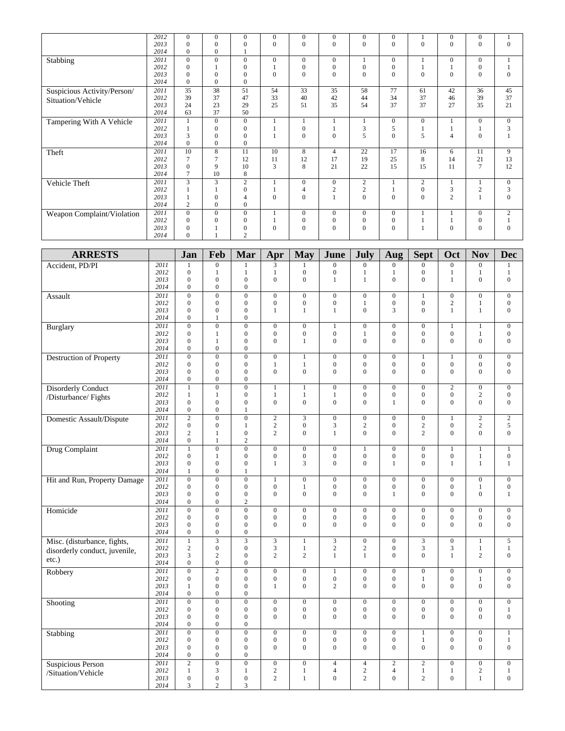|                                                  | 2012<br>2013 | $\boldsymbol{0}$<br>$\mathbf{0}$     | $\mathbf{0}$<br>$\mathbf{0}$         | $\boldsymbol{0}$<br>$\boldsymbol{0}$ | $\boldsymbol{0}$<br>$\mathbf{0}$     | $\boldsymbol{0}$<br>$\overline{0}$   | $\boldsymbol{0}$<br>$\mathbf{0}$     | $\boldsymbol{0}$<br>$\mathbf{0}$     | $\boldsymbol{0}$<br>$\mathbf{0}$     | $\mathbf{1}$<br>$\overline{0}$       | $\mathbf{0}$<br>$\mathbf{0}$         | $\boldsymbol{0}$<br>$\mathbf{0}$     | 1<br>$\overline{0}$                  |
|--------------------------------------------------|--------------|--------------------------------------|--------------------------------------|--------------------------------------|--------------------------------------|--------------------------------------|--------------------------------------|--------------------------------------|--------------------------------------|--------------------------------------|--------------------------------------|--------------------------------------|--------------------------------------|
|                                                  | 2014         | $\mathbf{0}$                         | $\mathbf{0}$                         | $\mathbf{1}$                         |                                      |                                      |                                      |                                      |                                      |                                      |                                      |                                      |                                      |
| Stabbing                                         | 2011<br>2012 | $\mathbf{0}$<br>$\mathbf{0}$         | $\overline{0}$<br>1                  | $\boldsymbol{0}$<br>$\boldsymbol{0}$ | $\boldsymbol{0}$<br>$\mathbf{1}$     | $\overline{0}$<br>$\boldsymbol{0}$   | $\boldsymbol{0}$<br>$\boldsymbol{0}$ | $\mathbf{1}$<br>$\boldsymbol{0}$     | $\mathbf{0}$<br>$\boldsymbol{0}$     | $\mathbf{1}$<br>$\mathbf{1}$         | $\boldsymbol{0}$<br>$\mathbf{1}$     | $\boldsymbol{0}$<br>$\boldsymbol{0}$ | 1<br>$\mathbf{1}$                    |
|                                                  | 2013         | $\mathbf{0}$                         | $\mathbf{0}$                         | $\boldsymbol{0}$                     | $\overline{0}$                       | $\mathbf{0}$                         | $\overline{0}$                       | $\mathbf{0}$                         | $\mathbf{0}$                         | $\overline{0}$                       | $\Omega$                             | $\mathbf{0}$                         | $\mathbf{0}$                         |
|                                                  | 2014         | $\boldsymbol{0}$                     | $\mathbf{0}$                         | $\boldsymbol{0}$                     |                                      |                                      |                                      |                                      |                                      |                                      |                                      |                                      |                                      |
| Suspicious Activity/Person/<br>Situation/Vehicle | 2011<br>2012 | 35<br>39                             | 38<br>37                             | 51<br>47                             | 54<br>33                             | 33<br>40                             | $\overline{35}$<br>42                | 58<br>44                             | 77<br>34                             | 61<br>37                             | 42<br>46                             | 36<br>39                             | 45<br>37                             |
|                                                  | 2013         | 24                                   | 23                                   | 29                                   | 25                                   | 51                                   | 35                                   | 54                                   | 37                                   | 37                                   | 27                                   | 35                                   | 21                                   |
| Tampering With A Vehicle                         | 2014<br>2011 | 63<br>1                              | 37<br>$\overline{0}$                 | 50<br>$\overline{0}$                 | $\mathbf{1}$                         | 1                                    | $\mathbf{1}$                         | $\mathbf{1}$                         | $\mathbf{0}$                         | $\mathbf{0}$                         | 1                                    | $\overline{0}$                       | $\mathbf{0}$                         |
|                                                  | 2012         | $\mathbf{1}$                         | $\mathbf{0}$                         | $\boldsymbol{0}$                     | $\mathbf{1}$                         | $\boldsymbol{0}$                     | $\mathbf{1}$                         | $\mathfrak{Z}$                       | 5                                    | $\mathbf{1}$                         | $\mathbf{1}$                         | $\mathbf{1}$                         | 3                                    |
|                                                  | 2013         | 3<br>$\boldsymbol{0}$                | $\mathbf{0}$<br>$\mathbf{0}$         | $\mathbf{0}$<br>$\boldsymbol{0}$     | $\mathbf{1}$                         | $\overline{0}$                       | $\mathbf{0}$                         | 5                                    | $\mathbf{0}$                         | 5                                    | $\overline{4}$                       | $\mathbf{0}$                         | $\mathbf{1}$                         |
| Theft                                            | 2014<br>2011 | 10                                   | $\overline{8}$                       | 11                                   | 10                                   | 8                                    | $\overline{4}$                       | 22                                   | 17                                   | 16                                   | 6                                    | 11                                   | 9                                    |
|                                                  | 2012         | 7                                    | $\tau$                               | 12                                   | 11                                   | 12                                   | 17                                   | 19                                   | 25                                   | 8                                    | 14                                   | 21                                   | 13                                   |
|                                                  | 2013<br>2014 | $\mathbf{0}$<br>7                    | 9<br>10                              | 10<br>8                              | 3                                    | 8                                    | 21                                   | 22                                   | 15                                   | 15                                   | 11                                   | $\overline{7}$                       | 12                                   |
| Vehicle Theft                                    | 2011         | $\overline{3}$                       |                                      | $\overline{2}$                       | $\mathbf{1}$                         | $\boldsymbol{0}$                     | $\mathbf{0}$                         | $\sqrt{2}$                           | 1                                    | 2                                    | 1                                    | $\mathbf{1}$                         | $\mathbf{0}$                         |
|                                                  | 2012         | 1                                    | 1<br>$\mathbf{0}$                    | $\boldsymbol{0}$<br>$\overline{4}$   | $\mathbf{1}$<br>$\mathbf{0}$         | $\overline{4}$<br>$\theta$           | $\sqrt{2}$                           | $\sqrt{2}$<br>$\mathbf{0}$           | $\mathbf{1}$<br>$\Omega$             | $\mathbf{0}$<br>$\theta$             | $\overline{3}$<br>$\overline{2}$     | $\sqrt{2}$                           | $\mathfrak{Z}$<br>$\overline{0}$     |
|                                                  | 2013<br>2014 | $\mathbf{1}$<br>2                    | $\mathbf{0}$                         | $\boldsymbol{0}$                     |                                      |                                      | $\mathbf{1}$                         |                                      |                                      |                                      |                                      | $\mathbf{1}$                         |                                      |
| Weapon Complaint/Violation                       | 2011         | $\boldsymbol{0}$                     | $\mathbf{0}$                         | $\boldsymbol{0}$                     | $\mathbf{1}$                         | $\overline{0}$                       | $\boldsymbol{0}$                     | $\boldsymbol{0}$                     | $\boldsymbol{0}$                     | $\mathbf{1}$                         | $\mathbf{1}$                         | $\boldsymbol{0}$                     | $\overline{c}$                       |
|                                                  | 2012<br>2013 | $\mathbf{0}$<br>$\boldsymbol{0}$     | $\mathbf{0}$<br>1                    | $\boldsymbol{0}$<br>$\boldsymbol{0}$ | $\mathbf{1}$<br>$\boldsymbol{0}$     | $\boldsymbol{0}$<br>$\overline{0}$   | $\boldsymbol{0}$<br>$\boldsymbol{0}$ | $\boldsymbol{0}$<br>$\boldsymbol{0}$ | $\boldsymbol{0}$<br>$\boldsymbol{0}$ | $\mathbf{1}$<br>$\mathbf{1}$         | $\mathbf{1}$<br>$\mathbf{0}$         | $\boldsymbol{0}$<br>$\boldsymbol{0}$ | $\mathbf{1}$<br>$\overline{0}$       |
|                                                  | 2014         | $\mathbf{0}$                         | 1                                    | $\overline{2}$                       |                                      |                                      |                                      |                                      |                                      |                                      |                                      |                                      |                                      |
|                                                  |              |                                      |                                      |                                      |                                      |                                      |                                      |                                      |                                      |                                      |                                      |                                      |                                      |
| <b>ARRESTS</b>                                   |              | Jan                                  | Feb                                  | Mar                                  | Apr                                  | <b>May</b>                           | June                                 | July                                 | Aug                                  | <b>Sept</b>                          | Oct                                  | <b>Nov</b>                           | <b>Dec</b>                           |
| Accident, PD/PI                                  | 2011<br>2012 | $\mathbf{1}$<br>$\mathbf{0}$         | $\overline{0}$<br>$\mathbf{1}$       | 1<br>$\mathbf{1}$                    | 3<br>$\mathbf{1}$                    | 1<br>$\boldsymbol{0}$                | $\boldsymbol{0}$<br>$\boldsymbol{0}$ | $\mathbf{0}$<br>1                    | $\overline{0}$<br>1                  | $\overline{0}$<br>$\boldsymbol{0}$   | $\overline{0}$<br>1                  | $\boldsymbol{0}$<br>$\mathbf{1}$     | 1<br>$\mathbf{1}$                    |
|                                                  | 2013         | $\overline{0}$                       | $\mathbf{0}$                         | $\overline{0}$                       | $\mathbf{0}$                         | $\mathbf{0}$                         | $\mathbf{1}$                         | $\mathbf{1}$                         | $\mathbf{0}$                         | $\mathbf{0}$                         | 1                                    | $\mathbf{0}$                         | $\mathbf{0}$                         |
|                                                  | 2014<br>2011 | $\mathbf{0}$<br>$\overline{0}$       | $\boldsymbol{0}$<br>$\overline{0}$   | $\boldsymbol{0}$<br>$\boldsymbol{0}$ | $\mathbf{0}$                         | $\boldsymbol{0}$                     | $\overline{0}$                       | $\boldsymbol{0}$                     | $\boldsymbol{0}$                     |                                      | $\boldsymbol{0}$                     | $\boldsymbol{0}$                     | $\boldsymbol{0}$                     |
| Assault                                          | 2012         | $\mathbf{0}$                         | $\mathbf{0}$                         | $\boldsymbol{0}$                     | $\boldsymbol{0}$                     | $\boldsymbol{0}$                     | $\boldsymbol{0}$                     | $\mathbf{1}$                         | $\boldsymbol{0}$                     | $\mathbf{1}$<br>$\boldsymbol{0}$     | $\overline{c}$                       | $\mathbf{1}$                         | $\boldsymbol{0}$                     |
|                                                  | 2013         | $\mathbf{0}$                         | $\mathbf{0}$                         | $\overline{0}$                       | $\mathbf{1}$                         | $\mathbf{1}$                         | $\mathbf{1}$                         | $\mathbf{0}$                         | 3                                    | $\overline{0}$                       | $\mathbf{1}$                         | $\mathbf{1}$                         | $\mathbf{0}$                         |
| <b>Burglary</b>                                  | 2014<br>2011 | $\boldsymbol{0}$<br>$\overline{0}$   | 1<br>$\boldsymbol{0}$                | $\boldsymbol{0}$<br>$\boldsymbol{0}$ | $\boldsymbol{0}$                     | $\boldsymbol{0}$                     | $\mathbf{1}$                         | $\boldsymbol{0}$                     | $\mathbf{0}$                         | $\boldsymbol{0}$                     | $\mathbf{1}$                         | $\mathbf{1}$                         | $\boldsymbol{0}$                     |
|                                                  | 2012         | $\mathbf{0}$                         | $\mathbf{1}$                         | $\boldsymbol{0}$                     | $\mathbf{0}$                         | $\boldsymbol{0}$                     | $\boldsymbol{0}$                     | $\mathbf{1}$                         | $\boldsymbol{0}$                     | $\boldsymbol{0}$                     | $\boldsymbol{0}$                     | $\mathbf{1}$                         | $\boldsymbol{0}$                     |
|                                                  | 2013<br>2014 | $\overline{0}$<br>$\mathbf{0}$       | $\mathbf{1}$<br>$\boldsymbol{0}$     | $\overline{0}$<br>$\boldsymbol{0}$   | $\mathbf{0}$                         | $\mathbf{1}$                         | $\overline{0}$                       | $\mathbf{0}$                         | $\Omega$                             | $\overline{0}$                       | $\theta$                             | $\mathbf{0}$                         | $\Omega$                             |
| <b>Destruction of Property</b>                   | 2011         | $\boldsymbol{0}$                     | $\boldsymbol{0}$                     | $\boldsymbol{0}$                     | $\mathbf{0}$                         | 1                                    | $\boldsymbol{0}$                     | $\boldsymbol{0}$                     | $\mathbf{0}$                         | $\mathbf{1}$                         | 1                                    | $\boldsymbol{0}$                     | $\boldsymbol{0}$                     |
|                                                  | 2012<br>2013 | $\mathbf{0}$<br>$\mathbf{0}$         | $\mathbf{0}$<br>$\mathbf{0}$         | $\mathbf{0}$<br>$\mathbf{0}$         | $\mathbf{1}$<br>$\overline{0}$       | 1<br>$\overline{0}$                  | $\boldsymbol{0}$<br>$\mathbf{0}$     | $\boldsymbol{0}$<br>$\mathbf{0}$     | $\boldsymbol{0}$<br>$\Omega$         | $\boldsymbol{0}$<br>$\Omega$         | $\boldsymbol{0}$<br>$\Omega$         | $\boldsymbol{0}$<br>$\mathbf{0}$     | $\boldsymbol{0}$<br>$\mathbf{0}$     |
|                                                  | 2014         | $\boldsymbol{0}$                     | $\mathbf{0}$                         | $\mathbf{0}$                         |                                      |                                      |                                      |                                      |                                      |                                      |                                      |                                      |                                      |
| <b>Disorderly Conduct</b>                        | 2011         | $\mathbf{1}$                         | $\mathbf{0}$                         | $\overline{0}$                       | $\mathbf{1}$                         | $\mathbf{1}$                         | $\boldsymbol{0}$                     | $\boldsymbol{0}$                     | $\mathbf{0}$                         | $\mathbf{0}$                         | $\overline{c}$                       | $\boldsymbol{0}$                     | $\boldsymbol{0}$                     |
| /Disturbance/ Fights                             | 2012<br>2013 | 1<br>$\mathbf{0}$                    | 1<br>$\mathbf{0}$                    | $\boldsymbol{0}$<br>$\mathbf{0}$     | $\mathbf{1}$<br>$\boldsymbol{0}$     | 1<br>$\mathbf{0}$                    | $\mathbf{1}$<br>$\mathbf{0}$         | $\boldsymbol{0}$<br>$\mathbf{0}$     | $\boldsymbol{0}$<br>$\mathbf{1}$     | $\boldsymbol{0}$<br>$\overline{0}$   | $\boldsymbol{0}$<br>$\Omega$         | $\mathbf{2}$<br>$\mathbf{0}$         | $\boldsymbol{0}$<br>$\overline{0}$   |
|                                                  | 2014         | $\mathbf{0}$                         | $\boldsymbol{0}$                     | 1                                    |                                      |                                      |                                      |                                      |                                      |                                      |                                      |                                      |                                      |
| Domestic Assault/Dispute                         | 2011<br>2012 | $\overline{c}$<br>$\mathbf{0}$       | $\boldsymbol{0}$<br>$\mathbf{0}$     | $\boldsymbol{0}$<br>1                | $\sqrt{2}$<br>$\overline{c}$         | 3<br>$\overline{0}$                  | $\boldsymbol{0}$<br>3                | $\boldsymbol{0}$<br>$\sqrt{2}$       | $\boldsymbol{0}$<br>$\mathbf{0}$     | $\boldsymbol{0}$<br>$\mathbf{2}$     | 1<br>$\boldsymbol{0}$                | $\sqrt{2}$<br>$\sqrt{2}$             | $\sqrt{2}$<br>5                      |
|                                                  | 2013         | $\overline{c}$                       | 1                                    | $\boldsymbol{0}$                     | $\overline{c}$                       | $\overline{0}$                       | $\mathbf{1}$                         | $\mathbf{0}$                         | $\mathbf{0}$                         | $\mathfrak{2}$                       | $\mathbf{0}$                         | $\mathbf{0}$                         | $\mathbf{0}$                         |
|                                                  | 2014         | $\overline{0}$                       | 1                                    | $\overline{\mathbf{c}}$              |                                      |                                      |                                      |                                      |                                      |                                      |                                      |                                      |                                      |
| Drug Complaint                                   | 2011<br>2012 | $\overline{1}$<br>$\boldsymbol{0}$   | $\boldsymbol{0}$<br>1                | $\overline{0}$<br>$\boldsymbol{0}$   | $\boldsymbol{0}$<br>$\boldsymbol{0}$ | $\boldsymbol{0}$<br>$\boldsymbol{0}$ | $\boldsymbol{0}$<br>$\boldsymbol{0}$ | $\boldsymbol{0}$                     | $\boldsymbol{0}$<br>$\boldsymbol{0}$ | $\boldsymbol{0}$<br>$\boldsymbol{0}$ | $\boldsymbol{0}$                     | $\mathbf{1}$                         | 1<br>$\boldsymbol{0}$                |
|                                                  | 2013         | $\boldsymbol{0}$                     | $\boldsymbol{0}$                     | $\boldsymbol{0}$                     | $\mathbf{1}$                         | 3                                    | $\boldsymbol{0}$                     | $\boldsymbol{0}$                     | $\mathbf{1}$                         | $\overline{0}$                       | $\mathbf{1}$                         | $\mathbf{1}$                         | $\mathbf{1}$                         |
| Hit and Run, Property Damage                     | 2014<br>2011 | 1<br>$\boldsymbol{0}$                | $\boldsymbol{0}$<br>$\boldsymbol{0}$ | 1<br>$\boldsymbol{0}$                | $\mathbf{1}$                         | $\boldsymbol{0}$                     | $\boldsymbol{0}$                     | $\boldsymbol{0}$                     | $\boldsymbol{0}$                     | $\boldsymbol{0}$                     | $\overline{0}$                       | $\boldsymbol{0}$                     | $\boldsymbol{0}$                     |
|                                                  | 2012         | $\mathbf{0}$                         | $\boldsymbol{0}$                     | $\boldsymbol{0}$                     | $\boldsymbol{0}$                     | $\mathbf{1}$                         | $\boldsymbol{0}$                     | $\boldsymbol{0}$                     | $\boldsymbol{0}$                     | $\boldsymbol{0}$                     | $\boldsymbol{0}$                     | $\mathbf{1}$                         | $\boldsymbol{0}$                     |
|                                                  | 2013<br>2014 | $\boldsymbol{0}$<br>$\boldsymbol{0}$ | $\boldsymbol{0}$<br>$\boldsymbol{0}$ | $\boldsymbol{0}$<br>$\sqrt{2}$       | $\mathbf{0}$                         | $\boldsymbol{0}$                     | $\boldsymbol{0}$                     | $\boldsymbol{0}$                     | $\mathbf{1}$                         | $\boldsymbol{0}$                     | $\overline{0}$                       | $\boldsymbol{0}$                     | $\mathbf{1}$                         |
| Homicide                                         | 2011         | $\overline{0}$                       | $\overline{0}$                       | $\overline{0}$                       | $\overline{0}$                       | $\boldsymbol{0}$                     | $\overline{0}$                       | $\overline{0}$                       | $\mathbf{0}$                         | $\overline{0}$                       | $\overline{0}$                       | $\overline{0}$                       | $\overline{0}$                       |
|                                                  | 2012<br>2013 | $\boldsymbol{0}$<br>$\boldsymbol{0}$ | $\boldsymbol{0}$<br>$\boldsymbol{0}$ | $\boldsymbol{0}$<br>$\boldsymbol{0}$ | $\boldsymbol{0}$<br>$\boldsymbol{0}$ | $\boldsymbol{0}$<br>$\boldsymbol{0}$ | $\boldsymbol{0}$<br>$\boldsymbol{0}$ | $\boldsymbol{0}$<br>$\boldsymbol{0}$ | $\boldsymbol{0}$<br>$\boldsymbol{0}$ | $\boldsymbol{0}$<br>$\boldsymbol{0}$ | $\boldsymbol{0}$<br>$\boldsymbol{0}$ | $\boldsymbol{0}$<br>$\boldsymbol{0}$ | $\boldsymbol{0}$<br>$\mathbf{0}$     |
|                                                  | 2014         | $\boldsymbol{0}$                     | $\boldsymbol{0}$                     | $\boldsymbol{0}$                     |                                      |                                      |                                      |                                      |                                      |                                      |                                      |                                      |                                      |
| Misc. (disturbance, fights,                      | 2011         | $\mathbf{1}$                         | 3                                    | 3                                    | 3                                    | $\mathbf{1}$                         | 3                                    | $\boldsymbol{0}$                     | $\boldsymbol{0}$                     | 3                                    | $\boldsymbol{0}$                     | $\mathbf{1}$                         | 5                                    |
| disorderly conduct, juvenile,                    | 2012<br>2013 | $\overline{c}$<br>$\mathfrak{Z}$     | $\boldsymbol{0}$<br>$\mathbf{2}$     | $\boldsymbol{0}$<br>$\boldsymbol{0}$ | $\mathfrak{Z}$<br>$\overline{c}$     | $\mathbf{1}$<br>$\overline{c}$       | $\sqrt{2}$<br>$\mathbf{1}$           | $\sqrt{2}$<br>$\mathbf{1}$           | $\boldsymbol{0}$<br>$\mathbf{0}$     | 3<br>$\boldsymbol{0}$                | 3<br>1                               | $\mathbf{1}$<br>$\sqrt{2}$           | $\mathbf{1}$<br>$\overline{0}$       |
| etc.)                                            | 2014         | $\boldsymbol{0}$                     | $\boldsymbol{0}$                     | $\boldsymbol{0}$                     |                                      |                                      |                                      |                                      |                                      |                                      |                                      |                                      |                                      |
| Robbery                                          | 2011<br>2012 | $\overline{0}$<br>$\boldsymbol{0}$   | $\overline{2}$<br>$\boldsymbol{0}$   | $\overline{0}$<br>$\boldsymbol{0}$   | $\overline{0}$<br>$\boldsymbol{0}$   | $\boldsymbol{0}$<br>$\boldsymbol{0}$ | $\mathbf{1}$<br>$\boldsymbol{0}$     | $\overline{0}$<br>$\boldsymbol{0}$   | $\mathbf{0}$<br>$\boldsymbol{0}$     | $\overline{0}$<br>$\,1$              | $\boldsymbol{0}$<br>$\boldsymbol{0}$ | $\overline{0}$<br>$\mathbf{1}$       | $\boldsymbol{0}$<br>$\boldsymbol{0}$ |
|                                                  | 2013         | $\mathbf{1}$                         | $\boldsymbol{0}$                     | $\boldsymbol{0}$                     | 1                                    | $\boldsymbol{0}$                     | $\overline{c}$                       | $\mathbf{0}$                         | $\mathbf{0}$                         | $\mathbf{0}$                         | $\boldsymbol{0}$                     | $\boldsymbol{0}$                     | $\mathbf{0}$                         |
|                                                  | 2014<br>2011 | $\boldsymbol{0}$<br>$\overline{0}$   | $\boldsymbol{0}$<br>$\overline{0}$   | $\boldsymbol{0}$<br>$\boldsymbol{0}$ | $\boldsymbol{0}$                     | $\mathbf{0}$                         | $\boldsymbol{0}$                     | $\boldsymbol{0}$                     | $\mathbf{0}$                         | $\mathbf{0}$                         | $\boldsymbol{0}$                     | $\overline{0}$                       | $\boldsymbol{0}$                     |
| Shooting                                         | 2012         | $\mathbf{0}$                         | $\boldsymbol{0}$                     | $\boldsymbol{0}$                     | $\boldsymbol{0}$                     | $\boldsymbol{0}$                     | $\boldsymbol{0}$                     | $\boldsymbol{0}$                     | $\boldsymbol{0}$                     | $\boldsymbol{0}$                     | $\boldsymbol{0}$                     | $\boldsymbol{0}$                     | $\mathbf{1}$                         |
|                                                  | 2013         | $\mathbf{0}$                         | $\boldsymbol{0}$                     | $\boldsymbol{0}$                     | $\boldsymbol{0}$                     | $\mathbf{0}$                         | $\boldsymbol{0}$                     | $\boldsymbol{0}$                     | $\mathbf{0}$                         | $\boldsymbol{0}$                     | $\mathbf{0}$                         | $\boldsymbol{0}$                     | $\boldsymbol{0}$                     |
| Stabbing                                         | 2014<br>2011 | $\mathbf{0}$<br>$\boldsymbol{0}$     | $\boldsymbol{0}$<br>$\overline{0}$   | $\boldsymbol{0}$<br>$\boldsymbol{0}$ | $\boldsymbol{0}$                     | $\boldsymbol{0}$                     | $\boldsymbol{0}$                     | $\mathbf{0}$                         | $\boldsymbol{0}$                     | $\mathbf{1}$                         | $\boldsymbol{0}$                     | $\overline{0}$                       | $\mathbf{1}$                         |
|                                                  | 2012         | $\boldsymbol{0}$                     | $\boldsymbol{0}$                     | $\boldsymbol{0}$                     | $\overline{0}$                       | $\boldsymbol{0}$                     | $\boldsymbol{0}$                     | $\boldsymbol{0}$                     | $\boldsymbol{0}$                     | $\mathbf{1}$                         | $\boldsymbol{0}$                     | $\boldsymbol{0}$                     | $\mathbf{1}$                         |
|                                                  | 2013<br>2014 | $\boldsymbol{0}$<br>$\boldsymbol{0}$ | $\boldsymbol{0}$<br>$\boldsymbol{0}$ | $\boldsymbol{0}$<br>$\boldsymbol{0}$ | $\boldsymbol{0}$                     | $\boldsymbol{0}$                     | $\overline{0}$                       | $\mathbf{0}$                         | $\mathbf{0}$                         | $\overline{0}$                       | $\boldsymbol{0}$                     | $\mathbf{0}$                         | $\boldsymbol{0}$                     |
| <b>Suspicious Person</b>                         | 2011         | $\overline{2}$                       | $\overline{0}$                       | $\overline{0}$                       | $\boldsymbol{0}$                     | $\boldsymbol{0}$                     | $\overline{4}$                       | $\overline{4}$                       | $\overline{c}$                       | $\overline{c}$                       | $\boldsymbol{0}$                     | $\boldsymbol{0}$                     | $\boldsymbol{0}$                     |
| /Situation/Vehicle                               | 2012         | $\mathbf{1}$                         | 3                                    | 1                                    | $\sqrt{2}$                           | $\mathbf{1}$                         | $\overline{4}$                       | $\sqrt{2}$                           | $\overline{4}$                       | $\mathbf{1}$                         | $\mathbf{1}$                         | $\sqrt{2}$                           | $\mathbf{1}$                         |
|                                                  | 2013<br>2014 | $\boldsymbol{0}$<br>3                | $\boldsymbol{0}$<br>$\overline{c}$   | $\boldsymbol{0}$<br>3                | $\overline{c}$                       | $\mathbf{1}$                         | $\boldsymbol{0}$                     | $\sqrt{2}$                           | $\boldsymbol{0}$                     | $\overline{c}$                       | $\boldsymbol{0}$                     | $\mathbf{1}$                         | $\boldsymbol{0}$                     |